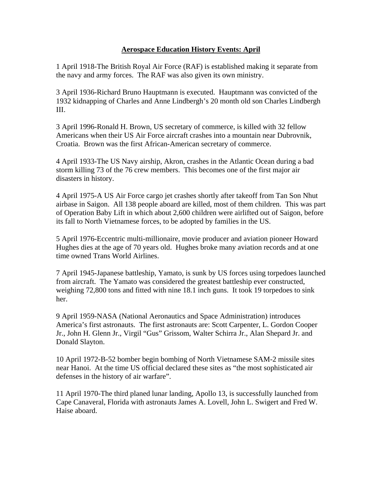## **Aerospace Education History Events: April**

1 April 1918-The British Royal Air Force (RAF) is established making it separate from the navy and army forces. The RAF was also given its own ministry.

3 April 1936-Richard Bruno Hauptmann is executed. Hauptmann was convicted of the 1932 kidnapping of Charles and Anne Lindbergh's 20 month old son Charles Lindbergh III.

3 April 1996-Ronald H. Brown, US secretary of commerce, is killed with 32 fellow Americans when their US Air Force aircraft crashes into a mountain near Dubrovnik, Croatia. Brown was the first African-American secretary of commerce.

4 April 1933-The US Navy airship, Akron, crashes in the Atlantic Ocean during a bad storm killing 73 of the 76 crew members. This becomes one of the first major air disasters in history.

4 April 1975-A US Air Force cargo jet crashes shortly after takeoff from Tan Son Nhut airbase in Saigon. All 138 people aboard are killed, most of them children. This was part of Operation Baby Lift in which about 2,600 children were airlifted out of Saigon, before its fall to North Vietnamese forces, to be adopted by families in the US.

5 April 1976-Eccentric multi-millionaire, movie producer and aviation pioneer Howard Hughes dies at the age of 70 years old. Hughes broke many aviation records and at one time owned Trans World Airlines.

7 April 1945-Japanese battleship, Yamato, is sunk by US forces using torpedoes launched from aircraft. The Yamato was considered the greatest battleship ever constructed, weighing 72,800 tons and fitted with nine 18.1 inch guns. It took 19 torpedoes to sink her.

9 April 1959-NASA (National Aeronautics and Space Administration) introduces America's first astronauts. The first astronauts are: Scott Carpenter, L. Gordon Cooper Jr., John H. Glenn Jr., Virgil "Gus" Grissom, Walter Schirra Jr., Alan Shepard Jr. and Donald Slayton.

10 April 1972-B-52 bomber begin bombing of North Vietnamese SAM-2 missile sites near Hanoi. At the time US official declared these sites as "the most sophisticated air defenses in the history of air warfare".

11 April 1970-The third planed lunar landing, Apollo 13, is successfully launched from Cape Canaveral, Florida with astronauts James A. Lovell, John L. Swigert and Fred W. Haise aboard.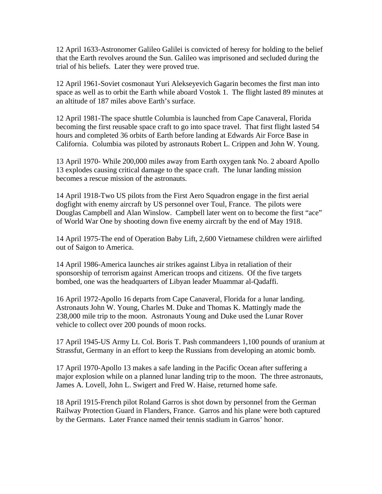12 April 1633-Astronomer Galileo Galilei is convicted of heresy for holding to the belief that the Earth revolves around the Sun. Galileo was imprisoned and secluded during the trial of his beliefs. Later they were proved true.

12 April 1961-Soviet cosmonaut Yuri Alekseyevich Gagarin becomes the first man into space as well as to orbit the Earth while aboard Vostok 1. The flight lasted 89 minutes at an altitude of 187 miles above Earth's surface.

12 April 1981-The space shuttle Columbia is launched from Cape Canaveral, Florida becoming the first reusable space craft to go into space travel. That first flight lasted 54 hours and completed 36 orbits of Earth before landing at Edwards Air Force Base in California. Columbia was piloted by astronauts Robert L. Crippen and John W. Young.

13 April 1970- While 200,000 miles away from Earth oxygen tank No. 2 aboard Apollo 13 explodes causing critical damage to the space craft. The lunar landing mission becomes a rescue mission of the astronauts.

14 April 1918-Two US pilots from the First Aero Squadron engage in the first aerial dogfight with enemy aircraft by US personnel over Toul, France. The pilots were Douglas Campbell and Alan Winslow. Campbell later went on to become the first "ace" of World War One by shooting down five enemy aircraft by the end of May 1918.

14 April 1975-The end of Operation Baby Lift, 2,600 Vietnamese children were airlifted out of Saigon to America.

14 April 1986-America launches air strikes against Libya in retaliation of their sponsorship of terrorism against American troops and citizens. Of the five targets bombed, one was the headquarters of Libyan leader Muammar al-Qadaffi.

16 April 1972-Apollo 16 departs from Cape Canaveral, Florida for a lunar landing. Astronauts John W. Young, Charles M. Duke and Thomas K. Mattingly made the 238,000 mile trip to the moon. Astronauts Young and Duke used the Lunar Rover vehicle to collect over 200 pounds of moon rocks.

17 April 1945-US Army Lt. Col. Boris T. Pash commandeers 1,100 pounds of uranium at Strassfut, Germany in an effort to keep the Russians from developing an atomic bomb.

17 April 1970-Apollo 13 makes a safe landing in the Pacific Ocean after suffering a major explosion while on a planned lunar landing trip to the moon. The three astronauts, James A. Lovell, John L. Swigert and Fred W. Haise, returned home safe.

18 April 1915-French pilot Roland Garros is shot down by personnel from the German Railway Protection Guard in Flanders, France. Garros and his plane were both captured by the Germans. Later France named their tennis stadium in Garros' honor.